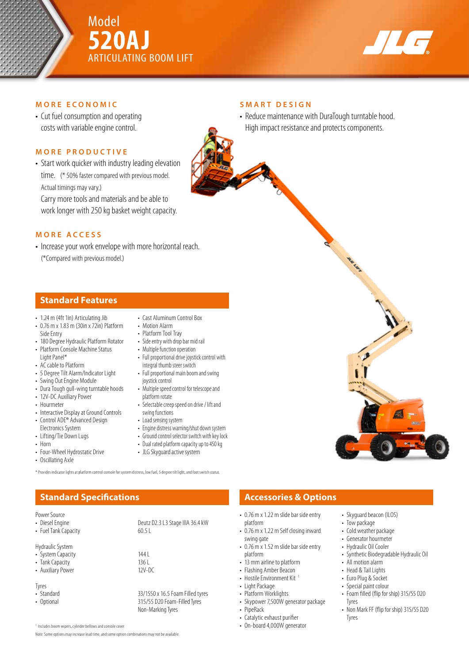



## **MORE ECONOMIC**

• Cut fuel consumption and operating costs with variable engine control.

# **MORE PRODUCTIVE**

• Start work quicker with industry leading elevation time. (\* 50% faster compared with previous model. Actual timings may vary.)

Carry more tools and materials and be able to work longer with 250 kg basket weight capacity.

### **MORE ACCESS**

• Increase your work envelope with more horizontal reach. (\*Compared with previous model.)

## **Standard Features**

- 1.24 m (4ft 1in) Articulating Jib
- 0.76 m x 1.83 m (30in x 72in) Platform Side Entry
- 180 Degree Hydraulic Platform Rotator • Platform Console Machine Status
- Light Panel\*
- AC cable to Platform
- 5 Degree Tilt Alarm/Indicator Light
- Swing Out Engine Module • Dura Tough gull-wing turntable hoods
- 12V-DC Auxiliary Power
- Hourmeter
- Interactive Display at Ground Controls
- Control ADE® Advanced Design Electronics System
- Lifting/Tie Down Lugs
- Horn
- Four-Wheel Hydrostatic Drive
- Oscillating Axle
- 
- Cast Aluminum Control Box
- Motion Alarm • Platform Tool Tray
- Side entry with drop bar mid rail
- Multiple function operation
- Full proportional drive joystick control with integral thumb steer switch
- Full proportional main boom and swing joystick control
- Multiple speed control for telescope and platform rotate
- Selectable creep speed on drive / lift and swing functions
- Load sensing system
- Engine distress warning/shut down system
- Ground control selector switch with key lock
- Dual rated platform capacity up to 450 kg
- JLG Skyguard active system

315/55 D20 Foam-Filled Tyres Non-Marking Tyres

\* Provides indicator lights at platform control console for system distress, low fuel, 5 degree tilt light, and foot switch status.

# **Standard Specifications Accessories & Options**

- Diesel Engine Deutz D2.3 L3 Stage IIIA 36.4 kW<br>• Fuel Tank Capacity 60.5 L
- Fuel Tank Capacity

Hydraulic System

- System Capacity<br>• Tank Capacity 136 L
- Tank Capacity<br>• Auxiliary Power 12V-DC
- Auxiliary Power
- Tyres<br>• Standard
- Standard 33/1550 x 16.5 Foam Filled tyres<br>• Optional 315/55 D20 Foam-Filled Tyres
- 

<sup>1</sup> Includes boom wipers, cylinder bellows and console cover.

Note: Some options may increase lead time, and some option combinations may not be available.

### **SMART DESIGN**

• Reduce maintenance with DuraTough turntable hood. High impact resistance and protects components.

- 0.76 m x 1.22 m slide bar side entry platform
- 0.76 m x 1.22 m Self closing inward swing gate
- platform
- 13 mm airline to platform
- Flashing Amber Beacon
- Hostile Environment Kit<sup>1</sup>
- Light Package
- Platform Worklights
- Skypower 7,500W generator package
- 
- Catalytic exhaust purifier
- 
- Skyguard beacon (ILOS)
- Tow package
- Cold weather package
- Generator hourmeter
- Hydraulic Oil Cooler
- Synthetic Biodegradable Hydraulic Oil
- All motion alarm
- Head & Tail Lights
- Euro Plug & Socket
- Special paint colour
- Foam filled (flip for ship) 315/55 D20 Tyres
- Non Mark FF (flip for ship) 315/55 D20 Tyres



- - - 0.76 m x 1.52 m slide bar side entry
		-
		-
		-
		-
		- PipeRack
		-
		- On-board 4,000W generator